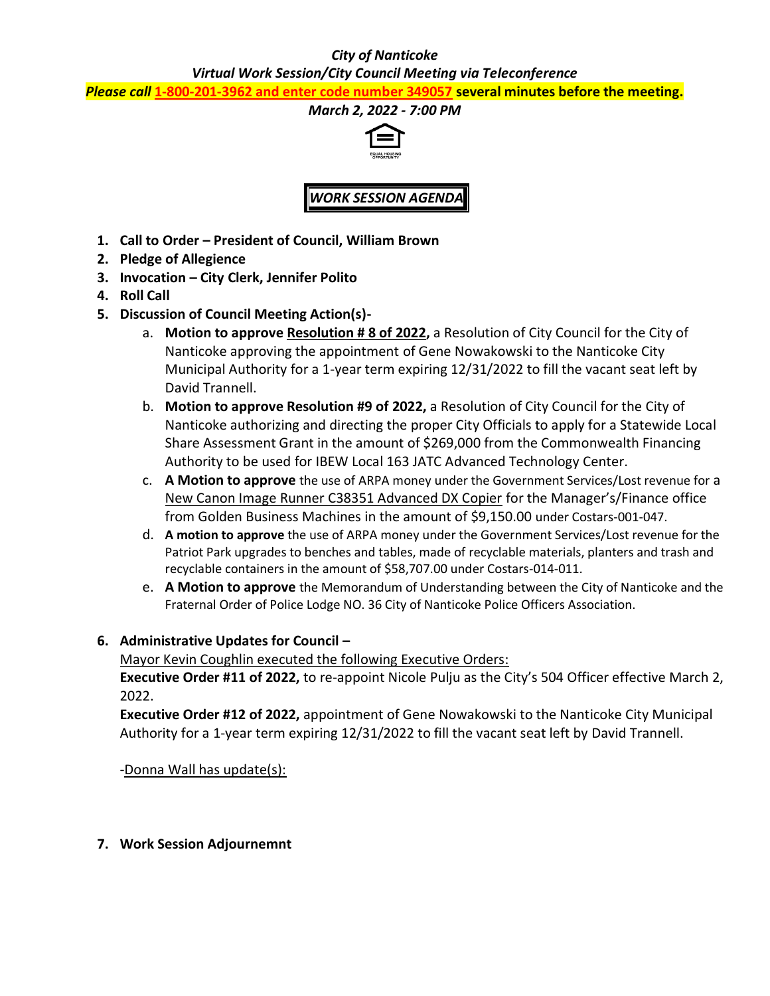#### *City of Nanticoke*

*Virtual Work Session/City Council Meeting via Teleconference*

*Please call* **1-800-201-3962 and enter code number 349057 several minutes before the meeting.**



*WORK SESSION AGENDA*

- **1. Call to Order – President of Council, William Brown**
- **2. Pledge of Allegience**
- **3. Invocation – City Clerk, Jennifer Polito**
- **4. Roll Call**
- **5. Discussion of Council Meeting Action(s)**
	- a. **Motion to approve Resolution # 8 of 2022,** a Resolution of City Council for the City of Nanticoke approving the appointment of Gene Nowakowski to the Nanticoke City Municipal Authority for a 1-year term expiring 12/31/2022 to fill the vacant seat left by David Trannell.
	- b. **Motion to approve Resolution #9 of 2022,** a Resolution of City Council for the City of Nanticoke authorizing and directing the proper City Officials to apply for a Statewide Local Share Assessment Grant in the amount of \$269,000 from the Commonwealth Financing Authority to be used for IBEW Local 163 JATC Advanced Technology Center.
	- c. **A Motion to approve** the use of ARPA money under the Government Services/Lost revenue for a New Canon Image Runner C38351 Advanced DX Copier for the Manager's/Finance office from Golden Business Machines in the amount of \$9,150.00 under Costars-001-047.
	- d. **A motion to approve** the use of ARPA money under the Government Services/Lost revenue for the Patriot Park upgrades to benches and tables, made of recyclable materials, planters and trash and recyclable containers in the amount of \$58,707.00 under Costars-014-011.
	- e. **A Motion to approve** the Memorandum of Understanding between the City of Nanticoke and the Fraternal Order of Police Lodge NO. 36 City of Nanticoke Police Officers Association.

### **6. Administrative Updates for Council –**

Mayor Kevin Coughlin executed the following Executive Orders:

**Executive Order #11 of 2022,** to re-appoint Nicole Pulju as the City's 504 Officer effective March 2, 2022.

**Executive Order #12 of 2022,** appointment of Gene Nowakowski to the Nanticoke City Municipal Authority for a 1-year term expiring 12/31/2022 to fill the vacant seat left by David Trannell.

-Donna Wall has update(s):

**7. Work Session Adjournemnt**